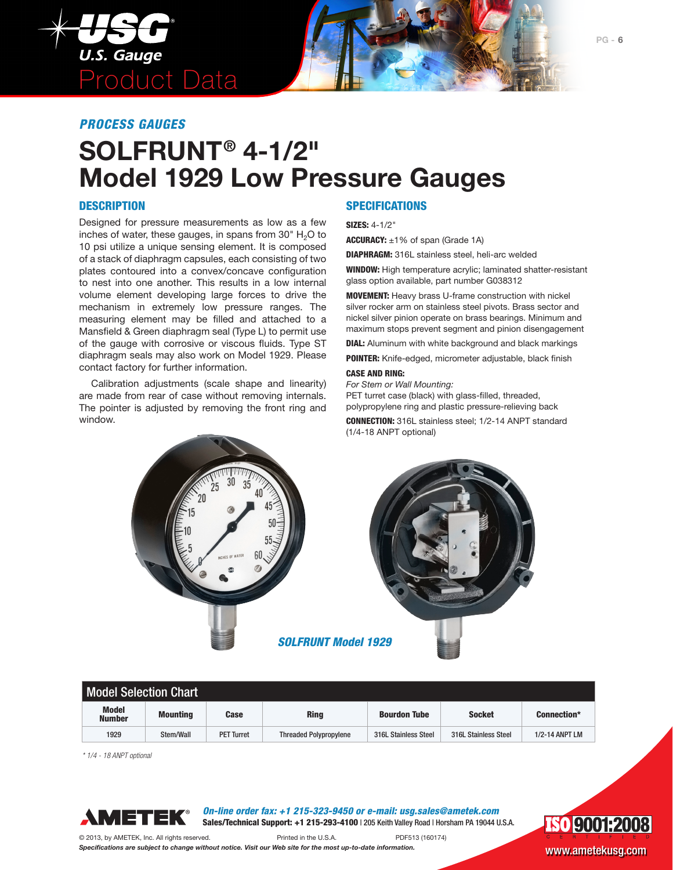

## *PROCESS GAUGES*

# **SOLFRUNT® 4-1/2" Model 1929 Low Pressure Gauges**

### **DESCRIPTION**

Designed for pressure measurements as low as a few inches of water, these gauges, in spans from  $30^{\circ}$  H<sub>2</sub>O to 10 psi utilize a unique sensing element. It is composed of a stack of diaphragm capsules, each consisting of two plates contoured into a convex/concave configuration to nest into one another. This results in a low internal volume element developing large forces to drive the mechanism in extremely low pressure ranges. The measuring element may be filled and attached to a Mansfield & Green diaphragm seal (Type L) to permit use of the gauge with corrosive or viscous fluids. Type ST diaphragm seals may also work on Model 1929. Please contact factory for further information.

Calibration adjustments (scale shape and linearity) are made from rear of case without removing internals. The pointer is adjusted by removing the front ring and window.

## **SPECIFICATIONS**

SIZES: 4-1/2"

ACCURACY: ±1% of span (Grade 1A)

DIAPHRAGM: 316L stainless steel, heli-arc welded

WINDOW: High temperature acrylic; laminated shatter-resistant glass option available, part number G038312

MOVEMENT: Heavy brass U-frame construction with nickel silver rocker arm on stainless steel pivots. Brass sector and nickel silver pinion operate on brass bearings. Minimum and maximum stops prevent segment and pinion disengagement

**DIAL:** Aluminum with white background and black markings

POINTER: Knife-edged, micrometer adjustable, black finish

#### CASE AND RING:

*For Stem or Wall Mounting:* PET turret case (black) with glass-filled, threaded, polypropylene ring and plastic pressure-relieving back

CONNECTION: 316L stainless steel; 1/2-14 ANPT standard (1/4-18 ANPT optional)





*SOLFRUNT Model 1929* 

| <b>Model Selection Chart</b>  |                 |                   |                               |                      |                      |                       |
|-------------------------------|-----------------|-------------------|-------------------------------|----------------------|----------------------|-----------------------|
| <b>Model</b><br><b>Number</b> | <b>Mounting</b> | <b>Case</b>       | <b>Ring</b>                   | <b>Bourdon Tube</b>  | <b>Socket</b>        | <b>Connection*</b>    |
| 1929                          | Stem/Wall       | <b>PET Turret</b> | <b>Threaded Polypropylene</b> | 316L Stainless Steel | 316L Stainless Steel | <b>1/2-14 ANPT LM</b> |

*\* 1/4 - 18 ANPT optional*



*On-line order fax: +1 215-323-9450 or e-mail: usg.sales@ametek.com* Sales/Technical Support: +1 215-293-4100 | 205 Keith Valley Road | Horsham PA 19044 U.S.A.

© 2013, by AMETEK, Inc. All rights reserved. Printed in the U.S.A. PDF513 (160174)